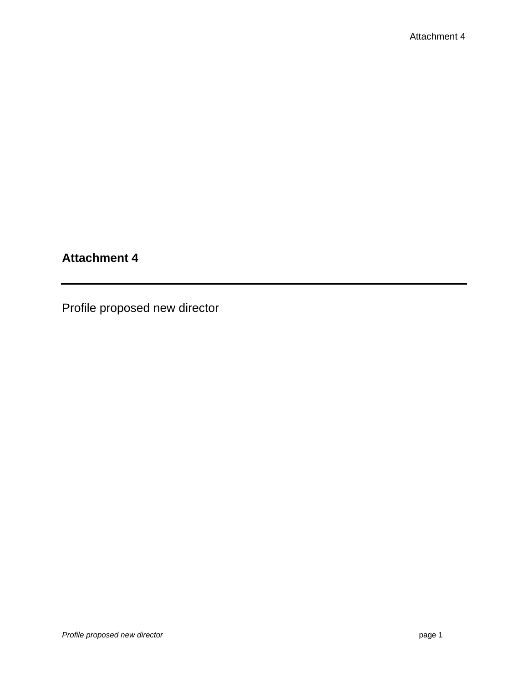## **Attachment 4**

Profile proposed new director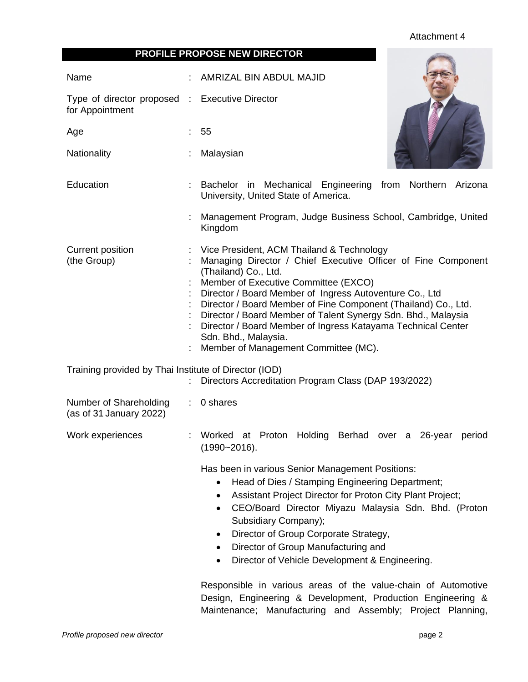## Attachment 4

**COLUMNS** 

| <b>PROFILE PROPOSE NEW DIRECTOR</b> |
|-------------------------------------|
|-------------------------------------|

| Name                                                              |   | AMRIZAL BIN ABDUL MAJID                                                                                                                                                                                                                                                                                                                                                                                                                                                                                  |  |  |  |
|-------------------------------------------------------------------|---|----------------------------------------------------------------------------------------------------------------------------------------------------------------------------------------------------------------------------------------------------------------------------------------------------------------------------------------------------------------------------------------------------------------------------------------------------------------------------------------------------------|--|--|--|
| Type of director proposed : Executive Director<br>for Appointment |   |                                                                                                                                                                                                                                                                                                                                                                                                                                                                                                          |  |  |  |
| Age                                                               |   | 55                                                                                                                                                                                                                                                                                                                                                                                                                                                                                                       |  |  |  |
| Nationality                                                       |   | Malaysian                                                                                                                                                                                                                                                                                                                                                                                                                                                                                                |  |  |  |
| Education                                                         |   | Bachelor in Mechanical Engineering from Northern Arizona<br>University, United State of America.                                                                                                                                                                                                                                                                                                                                                                                                         |  |  |  |
|                                                                   |   | Management Program, Judge Business School, Cambridge, United<br>Kingdom                                                                                                                                                                                                                                                                                                                                                                                                                                  |  |  |  |
| <b>Current position</b><br>(the Group)                            |   | Vice President, ACM Thailand & Technology<br>Managing Director / Chief Executive Officer of Fine Component<br>(Thailand) Co., Ltd.<br>Member of Executive Committee (EXCO)<br>Director / Board Member of Ingress Autoventure Co., Ltd<br>Director / Board Member of Fine Component (Thailand) Co., Ltd.<br>Director / Board Member of Talent Synergy Sdn. Bhd., Malaysia<br>Director / Board Member of Ingress Katayama Technical Center<br>Sdn. Bhd., Malaysia.<br>Member of Management Committee (MC). |  |  |  |
| Training provided by Thai Institute of Director (IOD)             |   | Directors Accreditation Program Class (DAP 193/2022)                                                                                                                                                                                                                                                                                                                                                                                                                                                     |  |  |  |
| Number of Shareholding<br>(as of 31 January 2022)                 | ÷ | 0 shares                                                                                                                                                                                                                                                                                                                                                                                                                                                                                                 |  |  |  |
| Work experiences                                                  |   | Berhad over a 26-year<br>Worked at Proton<br>Holding<br>period<br>$(1990 - 2016).$                                                                                                                                                                                                                                                                                                                                                                                                                       |  |  |  |
|                                                                   |   | Has been in various Senior Management Positions:<br>Head of Dies / Stamping Engineering Department;<br>Assistant Project Director for Proton City Plant Project;<br>٠<br>CEO/Board Director Miyazu Malaysia Sdn. Bhd. (Proton<br>$\bullet$<br>Subsidiary Company);<br>Director of Group Corporate Strategy,<br>Director of Group Manufacturing and<br>٠<br>Director of Vehicle Development & Engineering.<br>$\bullet$<br>Responsible in various areas of the value-chain of Automotive                  |  |  |  |
|                                                                   |   | Design, Engineering & Development, Production Engineering &                                                                                                                                                                                                                                                                                                                                                                                                                                              |  |  |  |

**Profile proposed new director page 2** 

Maintenance; Manufacturing and Assembly; Project Planning,